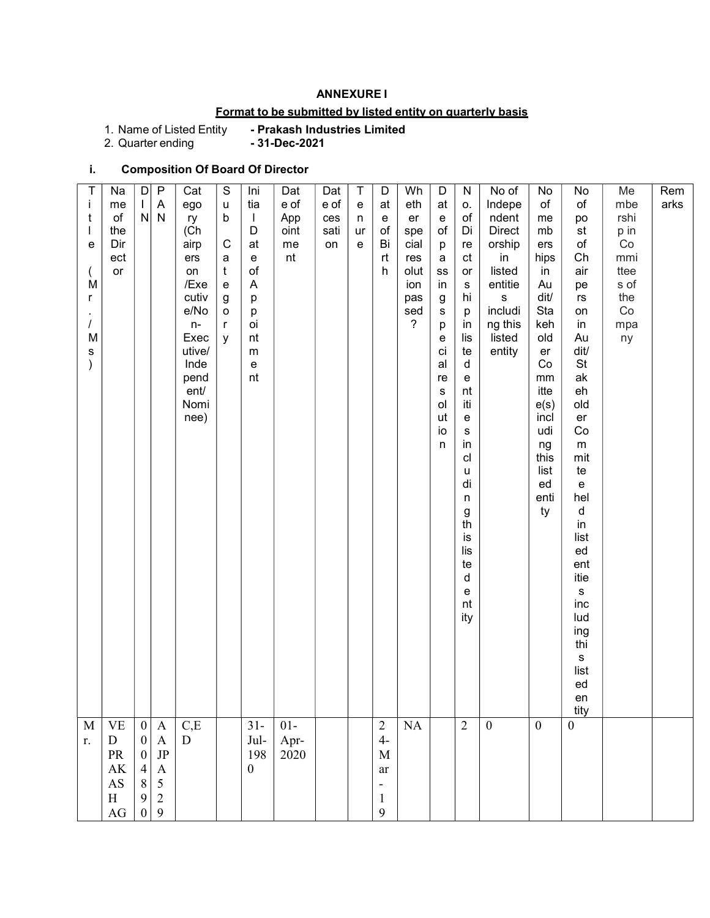## ANNEXURE I

# Format to be submitted by listed entity on quarterly basis

1. Name of Listed Entity<br>2. Quarter ending

- Prakash Industries Limited<br>- 31-Dec-2021

## i. Composition Of Board Of Director

| T<br>$\mathbf{i}$ | Na<br>me                                                                 | D<br>$\mathbf{I}$                     | P<br>$\mathsf A$             | Cat<br>ego     | $\mathsf S$<br>u | Ini<br>tia                                             | Dat<br>e of | Dat<br>e of | $\mathsf T$<br>$\mathbf{e}% _{t}\left( t\right)$ | D<br>at                  | Wh<br>eth               | D<br>at            | ${\sf N}$<br>0.        | No of<br>Indepe      | No<br>of     | No<br>of                     | Me<br>mbe    | Rem<br>arks |  |
|-------------------|--------------------------------------------------------------------------|---------------------------------------|------------------------------|----------------|------------------|--------------------------------------------------------|-------------|-------------|--------------------------------------------------|--------------------------|-------------------------|--------------------|------------------------|----------------------|--------------|------------------------------|--------------|-------------|--|
| t                 | $\mathsf{of}$<br>the                                                     | ${\sf N}$                             | ${\sf N}$                    | ry<br>(Ch      | b                | $\perp$<br>D                                           | App<br>oint | ces<br>sati | n<br>ur                                          | e<br>of                  | er<br>spe               | $\mathbf{e}$<br>of | $\circ f$<br>Di        | ndent<br>Direct      | me<br>mb     | po<br>$\mathsf{st}$          | rshi<br>p in |             |  |
| е                 | Dir                                                                      |                                       |                              | airp           | $\mathsf C$      | at                                                     | me          | on          | e                                                | Bi                       | cial                    | p                  | re                     | orship               | ers          | $\circ f$<br>Ch              | Co           |             |  |
|                   | ect<br>or                                                                |                                       |                              | ers<br>on      | a<br>$\mathbf t$ | $\mathbf{e}% _{t}\left  \mathbf{1}\right\rangle$<br>of | nt          |             |                                                  | rt<br>h.                 | res<br>olut             | a<br>$_{\rm SS}$   | ct<br>or               | in<br>listed         | hips<br>in   | air                          | mmi<br>ttee  |             |  |
| M<br>r            |                                                                          |                                       |                              | /Exe<br>cutiv  | e<br>g           | $\mathsf{A}$<br>p                                      |             |             |                                                  |                          | ion<br>pas              | in<br>g            | ${\bf S}$<br>hi        | entitie<br>${\bf S}$ | Au<br>dit/   | pe<br>$\mathsf{r}\mathsf{s}$ | s of<br>the  |             |  |
|                   |                                                                          |                                       |                              | e/No           | o                | р                                                      |             |             |                                                  |                          | sed<br>$\boldsymbol{?}$ | s                  | p                      | includi              | Sta          | on                           | $\rm Co$     |             |  |
| M                 |                                                                          |                                       |                              | $n-$<br>Exec   | r<br>y           | oi<br>nt                                               |             |             |                                                  |                          |                         | р<br>е             | in<br>lis              | ng this<br>listed    | keh<br>old   | in<br>Au                     | mpa<br>ny    |             |  |
| s                 |                                                                          |                                       |                              | utive/<br>Inde |                  | ${\sf m}$<br>e                                         |             |             |                                                  |                          |                         | ci<br>al           | te<br>d                | entity               | er<br>Co     | dit/<br>$\mathsf{St}$        |              |             |  |
|                   |                                                                          |                                       |                              | pend<br>ent/   |                  | nt                                                     |             |             |                                                  |                          |                         | re<br>S            | ${\mathsf e}$<br>nt    |                      | mm<br>itte   | ak<br>eh                     |              |             |  |
|                   |                                                                          |                                       |                              | Nomi           |                  |                                                        |             |             |                                                  |                          |                         | ol                 | iti                    |                      | e(s)         | old                          |              |             |  |
|                   |                                                                          |                                       |                              | nee)           |                  |                                                        |             |             |                                                  |                          |                         | ut<br>io           | ${\bf e}$<br>${\bf S}$ |                      | incl<br>udi  | er<br>Co                     |              |             |  |
|                   |                                                                          |                                       |                              |                |                  |                                                        |             |             |                                                  |                          |                         | n                  | in<br>cl               |                      | ng<br>this   | ${\sf m}$<br>mit             |              |             |  |
|                   |                                                                          |                                       |                              |                |                  |                                                        |             |             |                                                  |                          |                         |                    | u                      |                      | list         | te                           |              |             |  |
|                   |                                                                          |                                       |                              |                |                  |                                                        |             |             |                                                  |                          |                         |                    | di<br>$\sf n$          |                      | ed<br>enti   | e<br>hel                     |              |             |  |
|                   |                                                                          |                                       |                              |                |                  |                                                        |             |             |                                                  |                          |                         |                    | $\frac{g}{\text{th}}$  |                      | ty           | d<br>in                      |              |             |  |
|                   |                                                                          |                                       |                              |                |                  |                                                        |             |             |                                                  |                          |                         |                    | is                     |                      |              | list<br>ed                   |              |             |  |
|                   |                                                                          |                                       |                              |                |                  |                                                        |             |             |                                                  |                          |                         |                    | lis<br>te              |                      |              | ent                          |              |             |  |
|                   |                                                                          |                                       |                              |                |                  |                                                        |             |             |                                                  |                          |                         |                    | d<br>${\mathsf e}$     |                      |              | itie<br>${\sf s}$            |              |             |  |
|                   |                                                                          |                                       |                              |                |                  |                                                        |             |             |                                                  |                          |                         |                    | nt                     |                      |              | inc                          |              |             |  |
|                   |                                                                          |                                       |                              |                |                  |                                                        |             |             |                                                  |                          |                         |                    | ity                    |                      |              | lud<br>ing                   |              |             |  |
|                   |                                                                          |                                       |                              |                |                  |                                                        |             |             |                                                  |                          |                         |                    |                        |                      |              | thi<br>S                     |              |             |  |
|                   |                                                                          |                                       |                              |                |                  |                                                        |             |             |                                                  |                          |                         |                    |                        |                      |              | list<br>ed                   |              |             |  |
|                   |                                                                          |                                       |                              |                |                  |                                                        |             |             |                                                  |                          |                         |                    |                        |                      |              | en                           |              |             |  |
| $\mathbf M$       | <b>VE</b>                                                                | $\boldsymbol{0}$                      | $\mathbf{A}$                 | C,E            |                  | $31 -$                                                 | $01-$       |             |                                                  | $\overline{2}$           | NA                      |                    | $\overline{2}$         | $\boldsymbol{0}$     | $\mathbf{0}$ | tity<br>$\boldsymbol{0}$     |              |             |  |
| r.                | ${\bf D}$                                                                | $\boldsymbol{0}$                      | $\mathbf{A}$                 | D              |                  | $\mathrm{Jul}$ -                                       | Apr-        |             |                                                  | $4-$                     |                         |                    |                        |                      |              |                              |              |             |  |
|                   | $\ensuremath{\mathop{\text{\rm PR}}\nolimits}$<br>$\mathbf{A}\mathbf{K}$ | $\boldsymbol{0}$                      | $\rm JP$<br>$\boldsymbol{A}$ |                |                  | 198<br>$\boldsymbol{0}$                                | 2020        |             |                                                  | $\mathbf M$<br>ar        |                         |                    |                        |                      |              |                              |              |             |  |
|                   | $\mathbf{A}\mathbf{S}$                                                   | $\begin{array}{c} 4 \\ 8 \end{array}$ | $\overline{5}$               |                |                  |                                                        |             |             |                                                  | $\overline{\phantom{a}}$ |                         |                    |                        |                      |              |                              |              |             |  |
|                   | $\, {\rm H}$<br>$\rm{AG}$                                                | $\mathbf{9}$<br>$\boldsymbol{0}$      | $\overline{2}$<br>9          |                |                  |                                                        |             |             |                                                  | 1<br>9                   |                         |                    |                        |                      |              |                              |              |             |  |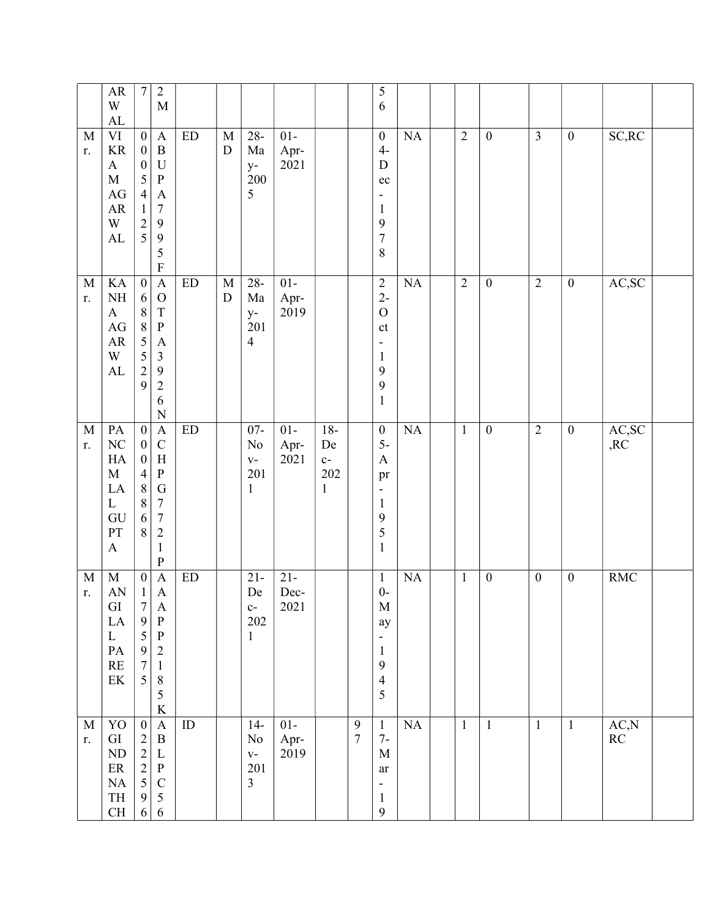|                   | ${\sf AR}$<br>W<br>${\rm AL}$                                                                                        | $\boldsymbol{7}$                                                                                                                  | $\sqrt{2}$<br>$\mathbf M$                                                                                                                                              |                            |                            |                                                       |                        |                                            |                            | 5<br>6                                                                                                                         |           |                |                  |                  |                  |                                 |  |
|-------------------|----------------------------------------------------------------------------------------------------------------------|-----------------------------------------------------------------------------------------------------------------------------------|------------------------------------------------------------------------------------------------------------------------------------------------------------------------|----------------------------|----------------------------|-------------------------------------------------------|------------------------|--------------------------------------------|----------------------------|--------------------------------------------------------------------------------------------------------------------------------|-----------|----------------|------------------|------------------|------------------|---------------------------------|--|
| M<br>r.           | $\rm{VI}$<br><b>KR</b><br>$\mathbf{A}$<br>$\mathbf M$<br>$\rm{AG}$<br>${\sf AR}$<br>W<br>${\rm AL}$                  | $\boldsymbol{0}$<br>$\boldsymbol{0}$<br>$\boldsymbol{0}$<br>5<br>$\overline{4}$<br>$\,1$<br>$\begin{array}{c} 2 \\ 5 \end{array}$ | $\mathbf{A}$<br>$\, {\bf B}$<br>$\mathbf U$<br>$\, {\bf P}$<br>$\mathbf A$<br>$\boldsymbol{7}$<br>$\mathbf{9}$<br>9<br>5<br>$\mathbf F$                                | $\mathop{\rm ED}\nolimits$ | $\mathbf M$<br>${\rm D}$   | $28 -$<br>Ma<br>$y-$<br>200<br>5                      | $01-$<br>Apr-<br>2021  |                                            |                            | $\boldsymbol{0}$<br>$4-$<br>${\bf D}$<br>$\rm ec$<br>-<br>$\mathbf{1}$<br>9<br>$\sqrt{ }$<br>8                                 | NA        | $\overline{2}$ | $\boldsymbol{0}$ | $\overline{3}$   | $\mathbf{0}$     | SC, RC                          |  |
| $\mathbf M$<br>r. | KA<br>$\rm NH$<br>$\mathbf{A}$<br>$\mathbf{A}\mathbf{G}$<br>${\sf AR}$<br>W<br>${\rm AL}$                            | $\overline{0}$<br>6<br>$\,8\,$<br>$\overline{8}$<br>5<br>$\frac{5}{2}$<br>9                                                       | $\mathbf{A}$<br>$\mathcal{O}$<br>$\mathbf T$<br>${\bf P}$<br>$\mathbf{A}$<br>$\mathfrak{Z}$<br>$\overline{9}$<br>$\sqrt{2}$<br>6<br>$\overline{N}$                     | ED                         | $\mathbf M$<br>$\mathbf D$ | $28 -$<br>Ma<br>$y-$<br>201<br>$\overline{4}$         | $01-$<br>Apr-<br>2019  |                                            |                            | $\sqrt{2}$<br>$2-$<br>$\mathcal{O}$<br>$\mathsf{ct}$<br>$\qquad \qquad \blacksquare$<br>$\mathbf{1}$<br>9<br>9<br>$\mathbf{1}$ | NA        | $\overline{2}$ | $\boldsymbol{0}$ | $\overline{2}$   | $\overline{0}$   | AC,SC                           |  |
| $\mathbf M$<br>r. | PA<br>$\rm NC$<br>HA<br>$\mathbf M$<br>LA<br>$\mathbf{L}$<br>GU<br>PT<br>$\boldsymbol{\mathsf{A}}$                   | $\boldsymbol{0}$<br>$\boldsymbol{0}$<br>$\boldsymbol{0}$<br>$\overline{4}$<br>$\,8\,$<br>$\,$ $\,$<br>6<br>$\,8\,$                | $\mathbf{A}$<br>$\mathsf{C}$<br>$\boldsymbol{\mathrm{H}}$<br>${\bf P}$<br>${\bf G}$<br>$\boldsymbol{7}$<br>$\boldsymbol{7}$<br>$\sqrt{2}$<br>$\mathbf{1}$<br>${\bf P}$ | $\mathop{\rm ED}\nolimits$ |                            | $07 -$<br>No<br>$\mathbf{V}$ –<br>201<br>$\mathbf{1}$ | $01 -$<br>Apr-<br>2021 | $18-$<br>De<br>$c-$<br>202<br>$\mathbf{1}$ |                            | $\boldsymbol{0}$<br>$5-$<br>$\mathbf{A}$<br>pr<br>$\overline{\phantom{a}}$<br>$\mathbf{1}$<br>9<br>5<br>$\mathbf{1}$           | <b>NA</b> | $\mathbf{1}$   | $\boldsymbol{0}$ | $\overline{2}$   | $\boldsymbol{0}$ | AC,SC<br>,RC                    |  |
| $\mathbf M$<br>r. | $\mathbf M$<br>AN<br>GI<br>$\rm LA$<br>$\mathbf{L}$<br>$\mathbf{PA}$<br>$\mathbf{RE}$<br>$\ensuremath{\text{EK}}$    | $\boldsymbol{0}$<br>$\mathbf{1}$<br>7<br>9<br>5<br>$\frac{9}{7}$<br>5                                                             | $\boldsymbol{\mathsf{A}}$<br>$\mathbf A$<br>$\boldsymbol{A}$<br>$\, {\bf P}$<br>$\, {\bf P}$<br>$\sqrt{2}$<br>$\mathbf 1$<br>$\,8\,$<br>5<br>$\rm K$                   | ED                         |                            | $21 -$<br>De<br>$c-$<br>202<br>$\mathbf{1}$           | $21 -$<br>Dec-<br>2021 |                                            |                            | $\mathbf{1}$<br>$0-$<br>M<br>ay<br>$\qquad \qquad \blacksquare$<br>$\mathbf{1}$<br>9<br>$\overline{4}$<br>5                    | NA        | $\mathbf{1}$   | $\boldsymbol{0}$ | $\boldsymbol{0}$ | $\boldsymbol{0}$ | <b>RMC</b>                      |  |
| $\mathbf M$<br>r. | Y <sub>O</sub><br>${\rm GI}$<br>ND<br>$\rm ER$<br>$\rm NA$<br>$\ensuremath{\mathsf{T}}\ensuremath{\mathsf{H}}$<br>CH | $\boldsymbol{0}$<br>$\begin{array}{c} 2 \\ 2 \\ 2 \\ 5 \end{array}$<br>$\mathbf{9}$<br>$\sqrt{6}$                                 | $\boldsymbol{\mathsf{A}}$<br>$\, {\bf B}$<br>$\mathbf L$<br>$\, {\bf P}$<br>$\mathsf C$<br>$\sqrt{5}$<br>$\sqrt{6}$                                                    | ID                         |                            | $14-$<br>No<br>$V -$<br>201<br>$\overline{3}$         | $01-$<br>Apr-<br>2019  |                                            | $\boldsymbol{9}$<br>$\tau$ | $\mathbf{1}$<br>$7-$<br>M<br>ar<br>$\overline{\phantom{a}}$<br>$\mathbf{1}$<br>$\mathbf{9}$                                    | NA        | $\mathbf{1}$   | $\mathbf{1}$     | $\mathbf{1}$     | $\mathbf{1}$     | AC,N<br>$\mathbb{R}\mathcal{C}$ |  |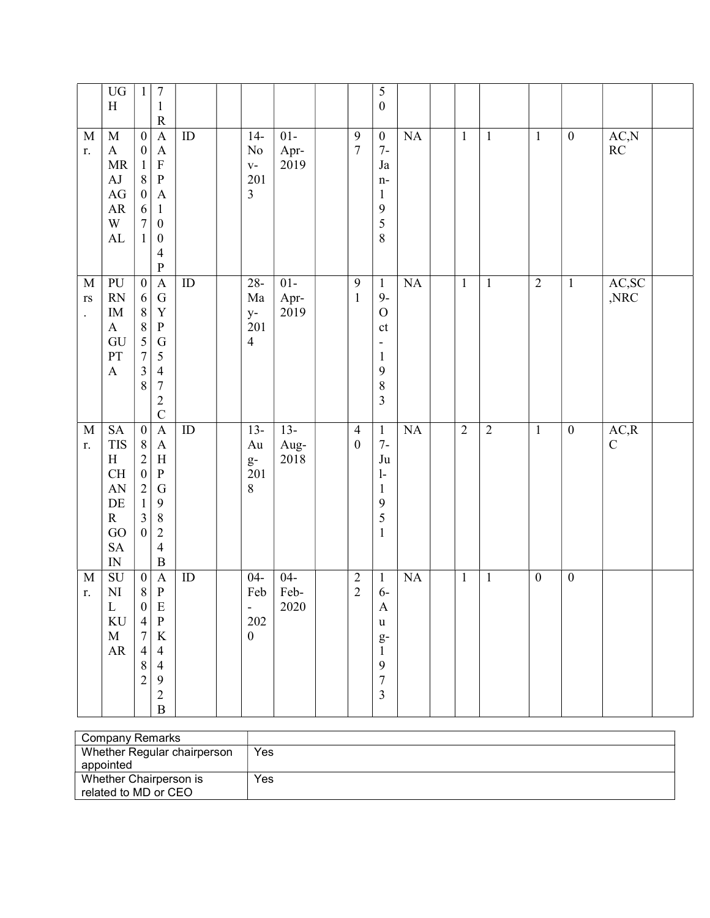|                                                               | ${\rm U}{\rm G}$<br>$\, {\rm H}$                                                                                                                                | $\mathbf{1}$                                                                                                                                      | $\boldsymbol{7}$<br>$\mathbf 1$<br>${\bf R}$                                                                                                                                               |                 |                                                                      |                        |                                    | 5<br>$\boldsymbol{0}$                                                                                              |                        |                |                |                  |                  |                                  |  |
|---------------------------------------------------------------|-----------------------------------------------------------------------------------------------------------------------------------------------------------------|---------------------------------------------------------------------------------------------------------------------------------------------------|--------------------------------------------------------------------------------------------------------------------------------------------------------------------------------------------|-----------------|----------------------------------------------------------------------|------------------------|------------------------------------|--------------------------------------------------------------------------------------------------------------------|------------------------|----------------|----------------|------------------|------------------|----------------------------------|--|
| M<br>r.                                                       | $\mathbf M$<br>$\boldsymbol{\mathrm{A}}$<br>$\ensuremath{\mathsf{MR}}\xspace$<br>${\rm AJ}$<br>$\rm{AG}$<br>${\sf AR}$<br>$\ensuremath{\text{W}}$<br>${\rm AL}$ | $\boldsymbol{0}$<br>$\boldsymbol{0}$<br>$\mathbf{1}$<br>$\,8\,$<br>$\boldsymbol{0}$<br>6<br>$\boldsymbol{7}$<br>$\mathbf{1}$                      | $\mathbf A$<br>$\mathbf{A}$<br>$\mathbf F$<br>$\, {\bf p}$<br>$\mathbf{A}$<br>$\mathbf{1}$<br>$\boldsymbol{0}$<br>$\boldsymbol{0}$<br>$\overline{4}$<br>$\overline{P}$                     | ID              | $14-$<br>No<br>$\mathbf{V}$ –<br>201<br>3                            | $01-$<br>Apr-<br>2019  | $\overline{9}$<br>$\overline{7}$   | $\boldsymbol{0}$<br>$7-$<br>$_{\mathrm{Ja}}$<br>$n-$<br>$\mathbf{1}$<br>9<br>5<br>8                                | NA                     | $\mathbf{1}$   | $\mathbf{1}$   | $\mathbf{1}$     | $\boldsymbol{0}$ | AC, N<br>$\mathbb{R}\mathcal{C}$ |  |
| $\mathbf M$<br>$\mathbf{r}\mathbf{s}$<br>$\ddot{\phantom{0}}$ | PU<br><b>RN</b><br>$\rm IM$<br>$\mathbf{A}$<br>GU<br>PT<br>$\boldsymbol{\mathsf{A}}$                                                                            | $\overline{0}$<br>6<br>$\,8\,$<br>$\,8\,$<br>$\overline{5}$<br>$\overline{7}$<br>$\overline{\mathbf{3}}$<br>8                                     | $\overline{A}$<br>${\bf G}$<br>$\mathbf Y$<br>${\bf P}$<br>$\mathbf G$<br>$\sqrt{5}$<br>$\overline{4}$<br>$\boldsymbol{7}$<br>$\sqrt{2}$<br>$\overline{C}$                                 | $\overline{ID}$ | $28 -$<br>Ma<br>$y-$<br>201<br>$\overline{4}$                        | $01-$<br>Apr-<br>2019  | $\mathbf{9}$<br>$\mathbf 1$        | $\mathbf{1}$<br>$9-$<br>$\mathbf O$<br>$\mathsf{ct}$<br>$\overline{\phantom{0}}$<br>$\mathbf{1}$<br>9<br>8<br>3    | $\overline{\text{NA}}$ | $\mathbf{1}$   | $\overline{1}$ | $\overline{2}$   | $\mathbf{1}$     | AC,SC<br>$,\!\!{\rm NRC}$        |  |
| $\mathbf M$<br>r.                                             | <b>SA</b><br><b>TIS</b><br>H<br>$\operatorname{CH}$<br>AN<br>$\rm DE$<br>${\bf R}$<br>$\rm GO$<br>SA<br>$\hbox{IN}$                                             | $\boldsymbol{0}$<br>$\,8\,$<br>$\sqrt{2}$<br>$\boldsymbol{0}$<br>$\begin{smallmatrix}2\\1\end{smallmatrix}$<br>$\overline{3}$<br>$\boldsymbol{0}$ | $\boldsymbol{\mathsf{A}}$<br>$\boldsymbol{\mathsf{A}}$<br>$\boldsymbol{\mathrm{H}}$<br>${\bf P}$<br>$\mathbf G$<br>$\mathbf{9}$<br>$\,8\,$<br>$\sqrt{2}$<br>$\overline{4}$<br>$\, {\bf B}$ | ${\rm ID}$      | $13 -$<br>Au<br>$g-$<br>201<br>8                                     | $13-$<br>Aug-<br>2018  | $\overline{4}$<br>$\boldsymbol{0}$ | $\mathbf{1}$<br>$7-$<br>$\mathrm{Ju}$<br>$\mathbf{1}$<br>$\mathbf{1}$<br>$\boldsymbol{9}$<br>5<br>$\mathbf{1}$     | NA                     | $\overline{2}$ | $\sqrt{2}$     | $\mathbf{1}$     | $\boldsymbol{0}$ | AC, R<br>${\bf C}$               |  |
| $\mathbf M$<br>r.                                             | <b>SU</b><br>$\rm NI$<br>$\mathbf L$<br>$\rm KU$<br>$\mathbf M$<br>${\sf AR}$                                                                                   | $\boldsymbol{0}$<br>$8\,$<br>$\boldsymbol{0}$<br>$\overline{4}$<br>$\boldsymbol{7}$<br>$\overline{4}$<br>$8\,$<br>$\overline{2}$                  | $\mathbf{A}$<br>$\, {\bf P}$<br>E<br>${\bf P}$<br>$\bf K$<br>$\overline{4}$<br>$\overline{4}$<br>$\overline{9}$<br>$\overline{c}$<br>$\, {\bf B}$                                          | ID              | $04 -$<br>Feb<br>$\overline{\phantom{0}}$<br>202<br>$\boldsymbol{0}$ | $04 -$<br>Feb-<br>2020 | $\sqrt{2}$<br>$\overline{2}$       | $\mathbf{1}$<br>$6-$<br>A<br>$\mathbf u$<br>$g-$<br>$\mathbf{1}$<br>9<br>$\overline{7}$<br>$\overline{\mathbf{3}}$ | NA                     | $\mathbf{1}$   | $\mathbf{1}$   | $\boldsymbol{0}$ | $\boldsymbol{0}$ |                                  |  |

| Company Remarks             |     |
|-----------------------------|-----|
| Whether Regular chairperson | Yes |
| appointed                   |     |
| Whether Chairperson is      | Yes |
| related to MD or CEO        |     |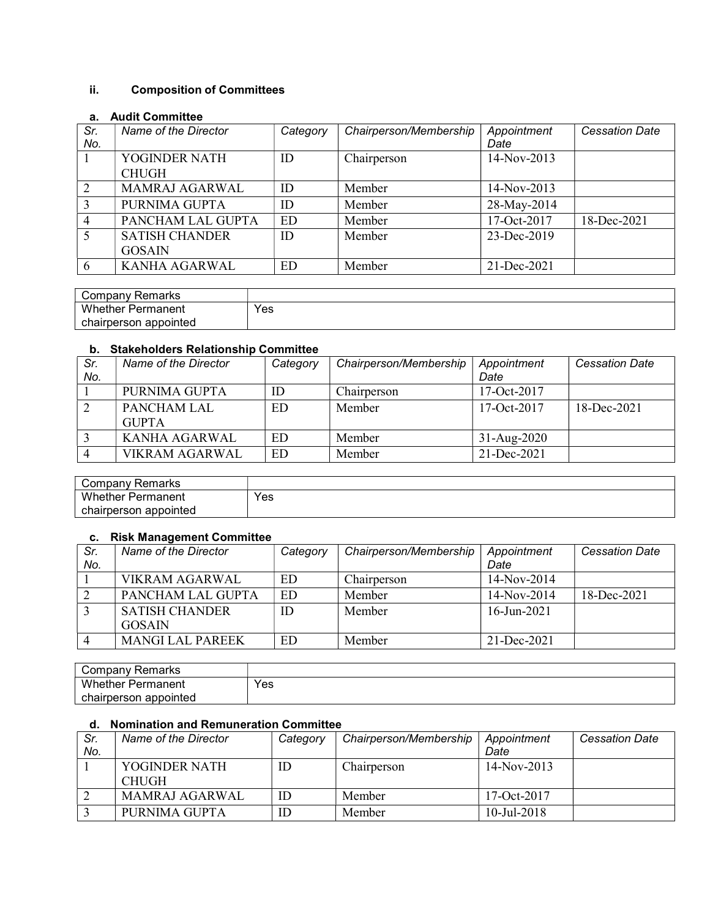# ii. Composition of Committees

## a. Audit Committee

| Sr.<br>No.     | Name of the Director          | Category | Chairperson/Membership | Appointment<br>Date | <b>Cessation Date</b> |
|----------------|-------------------------------|----------|------------------------|---------------------|-----------------------|
|                | YOGINDER NATH<br><b>CHUGH</b> | ID       | Chairperson            | 14-Nov-2013         |                       |
| $\overline{2}$ | <b>MAMRAJ AGARWAL</b>         | ID       | Member                 | 14-Nov-2013         |                       |
| 3              | PURNIMA GUPTA                 | ID       | Member                 | 28-May-2014         |                       |
| $\overline{4}$ | PANCHAM LAL GUPTA             | ED       | Member                 | 17-Oct-2017         | 18-Dec-2021           |
|                | <b>SATISH CHANDER</b>         | ID       | Member                 | 23-Dec-2019         |                       |
|                | <b>GOSAIN</b>                 |          |                        |                     |                       |
| 6              | KANHA AGARWAL                 | ED       | Member                 | 21-Dec-2021         |                       |

| Company Remarks          |     |
|--------------------------|-----|
| <b>Whether Permanent</b> | Yes |
| chairperson appointed    |     |

## b. Stakeholders Relationship Committee

| Sr.<br>No. | Name of the Director        | Category | Chairperson/Membership | Appointment<br>Date | <b>Cessation Date</b> |
|------------|-----------------------------|----------|------------------------|---------------------|-----------------------|
|            | PURNIMA GUPTA               | ID       | Chairperson            | 17-Oct-2017         |                       |
|            | PANCHAM LAL<br><b>GUPTA</b> | ED       | Member                 | $17-Oct-2017$       | 18-Dec-2021           |
|            | KANHA AGARWAL               | ED       | Member                 | $31-Aug-2020$       |                       |
|            | <b>VIKRAM AGARWAL</b>       | ED       | Member                 | 21-Dec-2021         |                       |

| Remarks<br>' ompany: ت |     |
|------------------------|-----|
| Whether<br>Permanent   | Yes |
| chairperson appointed  |     |

#### c. Risk Management Committee

| Sr.<br>No. | Name of the Director    | Category | Chairperson/Membership | Appointment<br>Date | <b>Cessation Date</b> |
|------------|-------------------------|----------|------------------------|---------------------|-----------------------|
|            | <b>VIKRAM AGARWAL</b>   | ED       | Chairperson            | $14-Nov-2014$       |                       |
|            | PANCHAM LAL GUPTA       | ED       | Member                 | $14-Nov-2014$       | 18-Dec-2021           |
|            | <b>SATISH CHANDER</b>   | ID       | Member                 | $16$ -Jun-2021      |                       |
|            | <b>GOSAIN</b>           |          |                        |                     |                       |
|            | <b>MANGI LAL PAREEK</b> | ED       | Member                 | $21 - Dec-2021$     |                       |

| ' ompanyد<br>≺emarks       |     |
|----------------------------|-----|
| Whether,<br>Permanent      | Yes |
| appointed •<br>chairperson |     |

## d. Nomination and Remuneration Committee

| Sr. | Name of the Director  | Category | Chairperson/Membership | Appointment    | <b>Cessation Date</b> |
|-----|-----------------------|----------|------------------------|----------------|-----------------------|
| No. |                       |          |                        | Date           |                       |
|     | YOGINDER NATH         | ID       | Chairperson            | $14-Nov-2013$  |                       |
|     | <b>CHUGH</b>          |          |                        |                |                       |
|     | <b>MAMRAJ AGARWAL</b> | ID       | Member                 | 17-Oct- $2017$ |                       |
|     | PURNIMA GUPTA         | ID       | Member                 | $10$ -Jul-2018 |                       |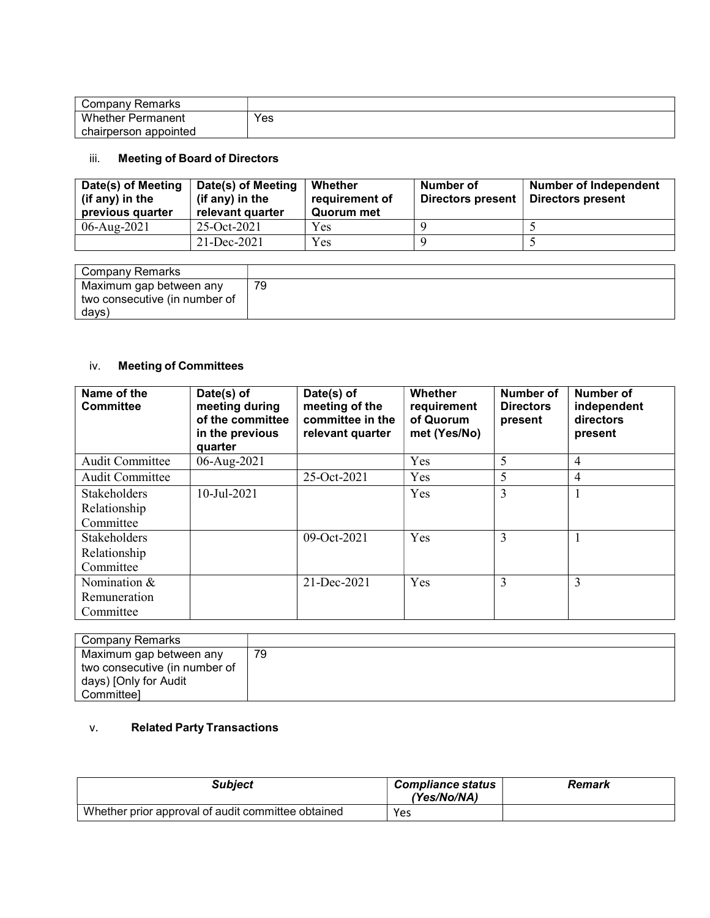| Company Remarks       |     |
|-----------------------|-----|
| Whether<br>Permanent  | Yes |
| chairperson appointed |     |

## iii. Meeting of Board of Directors

| Date(s) of Meeting<br>(if any) in the<br>previous quarter | Date(s) of Meeting<br>(if any) in the<br>relevant quarter | Whether<br>requirement of<br>Quorum met | Number of<br>Directors present | <b>Number of Independent</b><br>Directors present |
|-----------------------------------------------------------|-----------------------------------------------------------|-----------------------------------------|--------------------------------|---------------------------------------------------|
| $06$ -Aug-2021                                            | $25-Oct-2021$                                             | Yes                                     |                                |                                                   |
|                                                           | $21 - Dec-2021$                                           | Yes                                     |                                |                                                   |

| Company Remarks               |    |
|-------------------------------|----|
| Maximum gap between any       | 79 |
| two consecutive (in number of |    |
| days)                         |    |

# iv. Meeting of Committees

| Name of the<br><b>Committee</b> | Date(s) of<br>meeting during<br>of the committee<br>in the previous<br>quarter | Date(s) of<br>meeting of the<br>committee in the<br>relevant quarter | <b>Whether</b><br>requirement<br>of Quorum<br>met (Yes/No) | Number of<br><b>Directors</b><br>present | <b>Number of</b><br>independent<br>directors<br>present |
|---------------------------------|--------------------------------------------------------------------------------|----------------------------------------------------------------------|------------------------------------------------------------|------------------------------------------|---------------------------------------------------------|
| <b>Audit Committee</b>          | 06-Aug-2021                                                                    |                                                                      | Yes                                                        | 5                                        | $\overline{4}$                                          |
| Audit Committee                 |                                                                                | 25-Oct-2021                                                          | Yes                                                        | 5                                        | 4                                                       |
| <b>Stakeholders</b>             | 10-Jul-2021                                                                    |                                                                      | Yes                                                        | 3                                        |                                                         |
| Relationship                    |                                                                                |                                                                      |                                                            |                                          |                                                         |
| Committee                       |                                                                                |                                                                      |                                                            |                                          |                                                         |
| <b>Stakeholders</b>             |                                                                                | 09-Oct-2021                                                          | Yes                                                        | 3                                        |                                                         |
| Relationship                    |                                                                                |                                                                      |                                                            |                                          |                                                         |
| Committee                       |                                                                                |                                                                      |                                                            |                                          |                                                         |
| Nomination &                    |                                                                                | 21-Dec-2021                                                          | Yes                                                        | 3                                        | 3                                                       |
| Remuneration                    |                                                                                |                                                                      |                                                            |                                          |                                                         |
| Committee                       |                                                                                |                                                                      |                                                            |                                          |                                                         |

| Company Remarks               |    |
|-------------------------------|----|
| Maximum gap between any       | 79 |
| two consecutive (in number of |    |
| days) [Only for Audit         |    |
| Committeel                    |    |

# v. Related Party Transactions

| Subiect                                            | <b>Compliance status</b><br>(Yes/No/NA) | Remark |
|----------------------------------------------------|-----------------------------------------|--------|
| Whether prior approval of audit committee obtained | <b>Yes</b>                              |        |